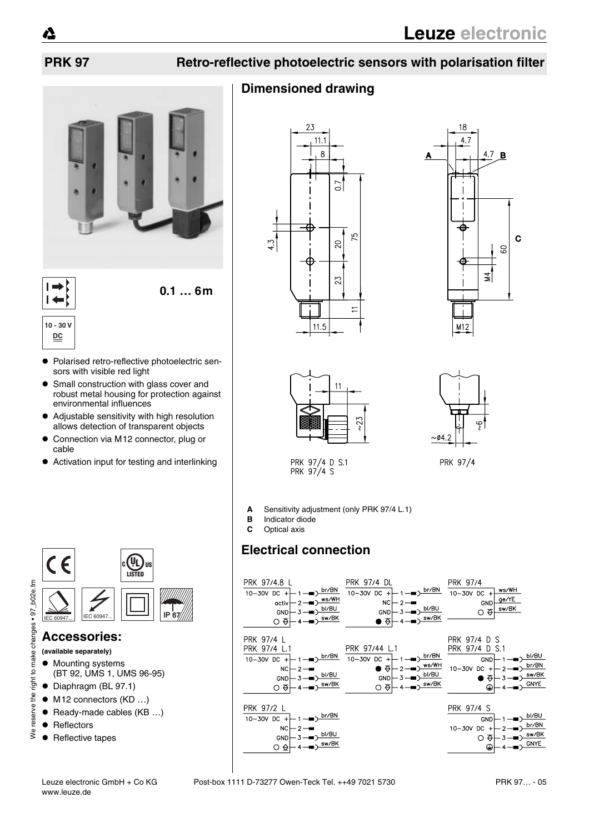**10 - 30 V DC**

 $\blacksquare$ 

# **PRK 97 Retro-reflective photoelectric sensors with polarisation filter**

# **Dimensioned drawing**









PRK 97/4 D S.1<br>PRK 97/4 S

PRK 97/4

**A** Sensitivity adjustment (only PRK 97/4 L.1)

- **B** Indicator diode<br>**C** Optical axis
- **C** Optical axis

# **Electrical connection**







### **Accessories:**

- **(available separately)**
- $\bullet$  Mounting systems (BT 92, UMS 1, UMS 96-95)
- Diaphragm (BL 97.1)
- $\bullet$  M12 connectors (KD ...)
- $\bullet$  Ready-made cables (KB ...)
- Reflectors

reserve the right

 $\zeta$ 

• Reflective tapes

**0.1 … 6m**

- ! Polarised retro-reflective photoelectric sensors with visible red light
- **Small construction with glass cover and** robust metal housing for protection against environmental influences
- ! Adjustable sensitivity with high resolution allows detection of transparent objects
- $\bullet$  Connection via M12 connector, plug or cable
- Activation input for testing and interlinking